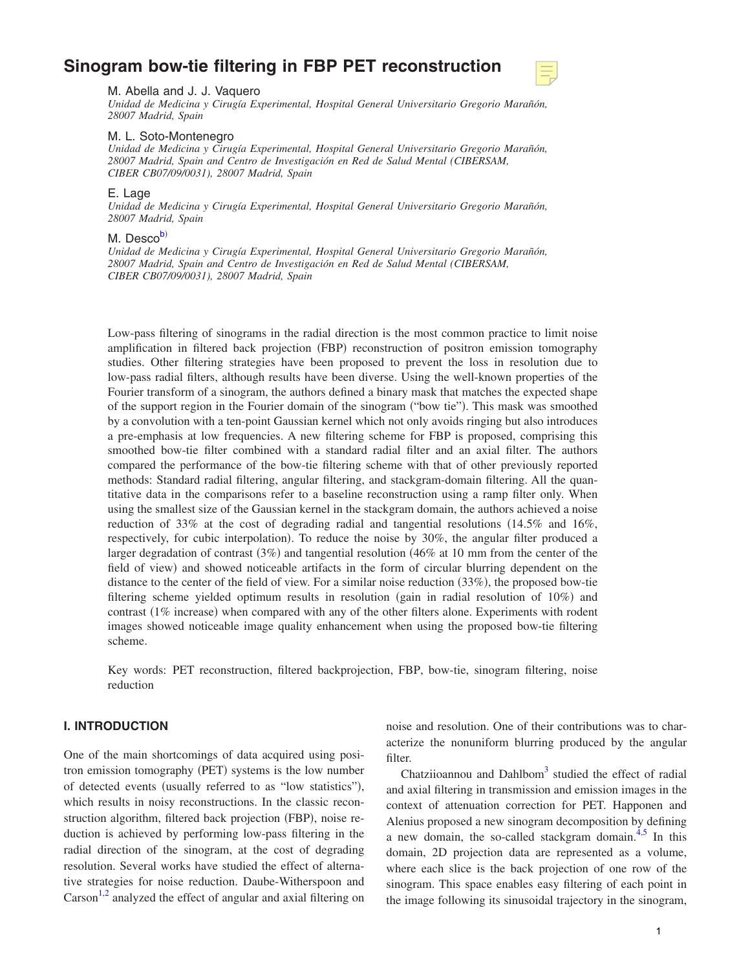# **[Sinogram bow-tie filtering in FBP PET reconstruction](http://dx.doi.org/10.1118/1.3096707)**



M. Abella and J. J. Vaquero

*Unidad de Medicina y Cirugía Experimental, Hospital General Universitario Gregorio Marañón, 28007 Madrid, Spain*

#### M. L. Soto-Montenegro

*Unidad de Medicina y Cirugía Experimental, Hospital General Universitario Gregorio Marañón, 28007 Madrid, Spain and Centro de Investigación en Red de Salud Mental (CIBERSAM, CIBER CB07/09/0031), 28007 Madrid, Spain*

## E. Lage

*Unidad de Medicina y Cirugía Experimental, Hospital General Universitario Gregorio Marañón, 28007 Madrid, Spain*

## M. Desc[ob](#page-8-0))

*Unidad de Medicina y Cirugía Experimental, Hospital General Universitario Gregorio Marañón, 28007 Madrid, Spain and Centro de Investigación en Red de Salud Mental (CIBERSAM, CIBER CB07/09/0031), 28007 Madrid, Spain*

Low-pass filtering of sinograms in the radial direction is the most common practice to limit noise amplification in filtered back projection (FBP) reconstruction of positron emission tomography studies. Other filtering strategies have been proposed to prevent the loss in resolution due to low-pass radial filters, although results have been diverse. Using the well-known properties of the Fourier transform of a sinogram, the authors defined a binary mask that matches the expected shape of the support region in the Fourier domain of the sinogram ("bow tie"). This mask was smoothed by a convolution with a ten-point Gaussian kernel which not only avoids ringing but also introduces a pre-emphasis at low frequencies. A new filtering scheme for FBP is proposed, comprising this smoothed bow-tie filter combined with a standard radial filter and an axial filter. The authors compared the performance of the bow-tie filtering scheme with that of other previously reported methods: Standard radial filtering, angular filtering, and stackgram-domain filtering. All the quantitative data in the comparisons refer to a baseline reconstruction using a ramp filter only. When using the smallest size of the Gaussian kernel in the stackgram domain, the authors achieved a noise reduction of 33% at the cost of degrading radial and tangential resolutions  $(14.5\%$  and  $16\%$ , respectively, for cubic interpolation). To reduce the noise by 30%, the angular filter produced a larger degradation of contrast (3%) and tangential resolution (46% at 10 mm from the center of the field of view) and showed noticeable artifacts in the form of circular blurring dependent on the distance to the center of the field of view. For a similar noise reduction (33%), the proposed bow-tie filtering scheme yielded optimum results in resolution (gain in radial resolution of 10%) and contrast (1% increase) when compared with any of the other filters alone. Experiments with rodent images showed noticeable image quality enhancement when using the proposed bow-tie filtering scheme.

Key words: PET reconstruction, filtered backprojection, FBP, bow-tie, sinogram filtering, noise reduction

## **I. INTRODUCTION**

One of the main shortcomings of data acquired using positron emission tomography (PET) systems is the low number of detected events (usually referred to as "low statistics"), which results in noisy reconstructions. In the classic reconstruction algorithm, filtered back projection (FBP), noise reduction is achieved by performing low-pass filtering in the radial direction of the sinogram, at the cost of degrading resolution. Several works have studied the effect of alternative strategies for noise reduction. Daube-Witherspoon and Carson<sup>1,[2](#page-8-2)</sup> analyzed the effect of angular and axial filtering on

noise and resolution. One of their contributions was to characterize the nonuniform blurring produced by the angular filter.

Chatziioannou and Dahlbom $3$  studied the effect of radial and axial filtering in transmission and emission images in the context of attenuation correction for PET. Happonen and Alenius proposed a new sinogram decomposition by defining a new domain, the so-called stackgram domain.<sup>[4](#page-8-4)[,5](#page-8-5)</sup> In this domain, 2D projection data are represented as a volume, where each slice is the back projection of one row of the sinogram. This space enables easy filtering of each point in the image following its sinusoidal trajectory in the sinogram,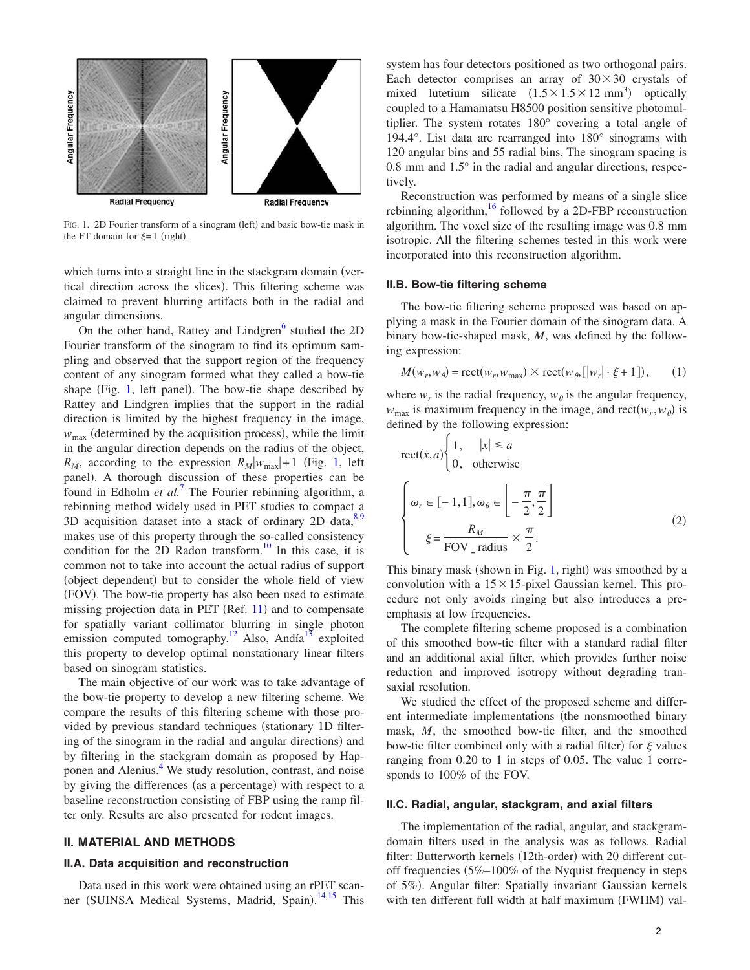<span id="page-1-0"></span>

FIG. 1. 2D Fourier transform of a sinogram (left) and basic bow-tie mask in the FT domain for  $\xi = 1$  (right).

which turns into a straight line in the stackgram domain (vertical direction across the slices). This filtering scheme was claimed to prevent blurring artifacts both in the radial and angular dimensions.

On the other hand, Rattey and Lindgren<sup>6</sup> studied the 2D Fourier transform of the sinogram to find its optimum sampling and observed that the support region of the frequency content of any sinogram formed what they called a bow-tie shape (Fig. [1,](#page-1-0) left panel). The bow-tie shape described by Rattey and Lindgren implies that the support in the radial direction is limited by the highest frequency in the image,  $w_{\text{max}}$  (determined by the acquisition process), while the limit in the angular direction depends on the radius of the object,  $R_M$ , according to the expression  $R_M|w_{\text{max}}|+1$  (Fig. [1,](#page-1-0) left panel). A thorough discussion of these properties can be found in Edholm *et al.*[7](#page-8-7) The Fourier rebinning algorithm, a rebinning method widely used in PET studies to compact a 3D acquisition dataset into a stack of ordinary 2D data, $8,9$  $8,9$ makes use of this property through the so-called consistency condition for the  $2D$  Radon transform.<sup>[10](#page-8-10)</sup> In this case, it is common not to take into account the actual radius of support (object dependent) but to consider the whole field of view (FOV). The bow-tie property has also been used to estimate missing projection data in PET (Ref. [11](#page-8-11)) and to compensate for spatially variant collimator blurring in single photon emission computed tomography.<sup>12</sup> Also, Andía<sup>13</sup> exploited this property to develop optimal nonstationary linear filters based on sinogram statistics.

The main objective of our work was to take advantage of the bow-tie property to develop a new filtering scheme. We compare the results of this filtering scheme with those provided by previous standard techniques (stationary 1D filtering of the sinogram in the radial and angular directions) and by filtering in the stackgram domain as proposed by Hap-ponen and Alenius.<sup>[4](#page-8-4)</sup> We study resolution, contrast, and noise by giving the differences (as a percentage) with respect to a baseline reconstruction consisting of FBP using the ramp filter only. Results are also presented for rodent images.

#### **II. MATERIAL AND METHODS**

#### **II.A. Data acquisition and reconstruction**

Data used in this work were obtained using an rPET scan-ner (SUINSA Medical Systems, Madrid, Spain).<sup>[14,](#page-8-14)[15](#page-8-15)</sup> This system has four detectors positioned as two orthogonal pairs. Each detector comprises an array of  $30 \times 30$  crystals of mixed lutetium silicate  $(1.5 \times 1.5 \times 12 \text{ mm}^3)$  optically coupled to a Hamamatsu H8500 position sensitive photomultiplier. The system rotates 180° covering a total angle of 194.4°. List data are rearranged into 180° sinograms with 120 angular bins and 55 radial bins. The sinogram spacing is 0.8 mm and 1.5° in the radial and angular directions, respectively.

Reconstruction was performed by means of a single slice rebinning algorithm, $16$  followed by a 2D-FBP reconstruction algorithm. The voxel size of the resulting image was 0.8 mm isotropic. All the filtering schemes tested in this work were incorporated into this reconstruction algorithm.

#### **II.B. Bow-tie filtering scheme**

The bow-tie filtering scheme proposed was based on applying a mask in the Fourier domain of the sinogram data. A binary bow-tie-shaped mask, *M*, was defined by the following expression:

<span id="page-1-1"></span>
$$
M(w_r, w_\theta) = \text{rect}(w_r, w_{\text{max}}) \times \text{rect}(w_\theta, [w_r| \cdot \xi + 1]), \quad (1)
$$

where  $w_r$  is the radial frequency,  $w_\theta$  is the angular frequency,  $w_{\text{max}}$  is maximum frequency in the image, and rect $(w_r, w_{\theta})$  is defined by the following expression:

<span id="page-1-2"></span>rect
$$
(x,a)
$$
  $\begin{cases} 1, & |x| \le a \\ 0, & \text{otherwise} \end{cases}$   

$$
\begin{cases} \omega_r \in [-1,1], \omega_\theta \in \left[ -\frac{\pi}{2}, \frac{\pi}{2} \right] \\ \xi = \frac{R_M}{\text{FOV}_{\text{radius}}} \times \frac{\pi}{2}. \end{cases}
$$
(2)

This binary mask (shown in Fig. [1,](#page-1-0) right) was smoothed by a convolution with a  $15\times15$ -pixel Gaussian kernel. This procedure not only avoids ringing but also introduces a preemphasis at low frequencies.

The complete filtering scheme proposed is a combination of this smoothed bow-tie filter with a standard radial filter and an additional axial filter, which provides further noise reduction and improved isotropy without degrading transaxial resolution.

We studied the effect of the proposed scheme and different intermediate implementations (the nonsmoothed binary mask, *M*, the smoothed bow-tie filter, and the smoothed bow-tie filter combined only with a radial filter) for  $\xi$  values ranging from 0.20 to 1 in steps of 0.05. The value 1 corresponds to 100% of the FOV.

#### **II.C. Radial, angular, stackgram, and axial filters**

The implementation of the radial, angular, and stackgramdomain filters used in the analysis was as follows. Radial filter: Butterworth kernels (12th-order) with 20 different cutoff frequencies  $5\%$ –100% of the Nyquist frequency in steps of 5%). Angular filter: Spatially invariant Gaussian kernels with ten different full width at half maximum (FWHM) val-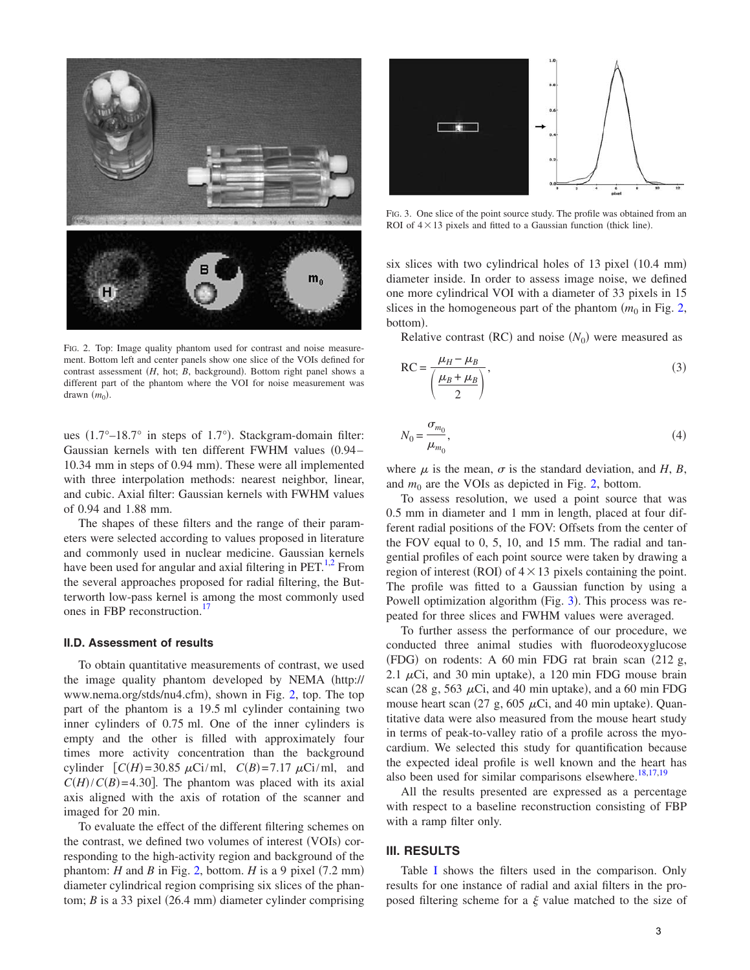<span id="page-2-0"></span>

FIG. 2. Top: Image quality phantom used for contrast and noise measurement. Bottom left and center panels show one slice of the VOIs defined for contrast assessment (*H*, hot; *B*, background). Bottom right panel shows a different part of the phantom where the VOI for noise measurement was drawn  $(m_0)$ .

ues (1.7°-18.7° in steps of 1.7°). Stackgram-domain filter: Gaussian kernels with ten different FWHM values (0.94-10.34 mm in steps of 0.94 mm). These were all implemented with three interpolation methods: nearest neighbor, linear, and cubic. Axial filter: Gaussian kernels with FWHM values of 0.94 and 1.88 mm.

The shapes of these filters and the range of their parameters were selected according to values proposed in literature and commonly used in nuclear medicine. Gaussian kernels have been used for angular and axial filtering in  $PET<sup>1,2</sup>$  $PET<sup>1,2</sup>$  $PET<sup>1,2</sup>$  From the several approaches proposed for radial filtering, the Butterworth low-pass kernel is among the most commonly used ones in FBP reconstruction.<sup>17</sup>

#### **II.D. Assessment of results**

To obtain quantitative measurements of contrast, we used the image quality phantom developed by NEMA (http:// www.nema.org/stds/nu4.cfm), shown in Fig. [2,](#page-2-0) top. The top part of the phantom is a 19.5 ml cylinder containing two inner cylinders of 0.75 ml. One of the inner cylinders is empty and the other is filled with approximately four times more activity concentration than the background cylinder  $[C(H) = 30.85 \mu\text{Ci/ml}, C(B) = 7.17 \mu\text{Ci/ml}, \text{and}$  $C(H)/C(B)$ =4.30]. The phantom was placed with its axial axis aligned with the axis of rotation of the scanner and imaged for 20 min.

To evaluate the effect of the different filtering schemes on the contrast, we defined two volumes of interest (VOIs) corresponding to the high-activity region and background of the phantom:  $H$  and  $B$  in Fig. [2,](#page-2-0) bottom.  $H$  is a 9 pixel (7.2 mm) diameter cylindrical region comprising six slices of the phantom;  $B$  is a 33 pixel (26.4 mm) diameter cylinder comprising

<span id="page-2-1"></span>

FIG. 3. One slice of the point source study. The profile was obtained from an ROI of  $4 \times 13$  pixels and fitted to a Gaussian function (thick line).

six slices with two cylindrical holes of  $13$  pixel  $(10.4 \text{ mm})$ diameter inside. In order to assess image noise, we defined one more cylindrical VOI with a diameter of 33 pixels in 15 slices in the homogeneous part of the phantom  $(m_0$  in Fig. [2,](#page-2-0) bottom).

Relative contrast  $(RC)$  and noise  $(N_0)$  were measured as

$$
RC = \frac{\mu_H - \mu_B}{\left(\frac{\mu_B + \mu_B}{2}\right)},
$$
\n(3)

$$
N_0 = \frac{\sigma_{m_0}}{\mu_{m_0}},\tag{4}
$$

where  $\mu$  is the mean,  $\sigma$  is the standard deviation, and *H*, *B*, and  $m_0$  are the VOIs as depicted in Fig. [2,](#page-2-0) bottom.

To assess resolution, we used a point source that was 0.5 mm in diameter and 1 mm in length, placed at four different radial positions of the FOV: Offsets from the center of the FOV equal to 0, 5, 10, and 15 mm. The radial and tangential profiles of each point source were taken by drawing a region of interest (ROI) of  $4 \times 13$  pixels containing the point. The profile was fitted to a Gaussian function by using a Powell optimization algorithm (Fig. [3](#page-2-1)). This process was repeated for three slices and FWHM values were averaged.

To further assess the performance of our procedure, we conducted three animal studies with fluorodeoxyglucose (FDG) on rodents: A 60 min FDG rat brain scan (212 g, 2.1  $\mu$ Ci, and 30 min uptake), a 120 min FDG mouse brain scan  $(28 \text{ g}, 563 \mu\text{Ci}, \text{and } 40 \text{ min} \text{ uptake})$ , and a 60 min FDG mouse heart scan  $(27 \text{ g}, 605 \mu\text{Ci}, \text{and } 40 \text{ min}$  uptake). Quantitative data were also measured from the mouse heart study in terms of peak-to-valley ratio of a profile across the myocardium. We selected this study for quantification because the expected ideal profile is well known and the heart has also been used for similar comparisons elsewhere.<sup>18[,17](#page-8-17)[,19](#page-8-19)</sup>

All the results presented are expressed as a percentage with respect to a baseline reconstruction consisting of FBP with a ramp filter only.

## **III. RESULTS**

Table [I](#page-3-0) shows the filters used in the comparison. Only results for one instance of radial and axial filters in the proposed filtering scheme for a  $\xi$  value matched to the size of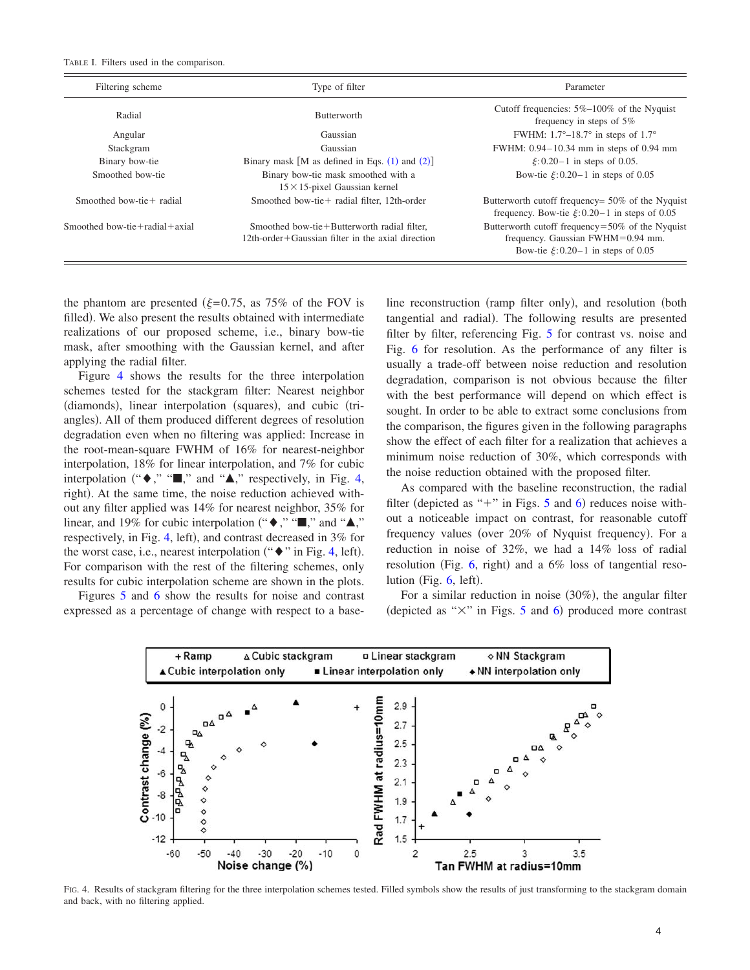<span id="page-3-0"></span>TABLE I. Filters used in the comparison.

| Filtering scheme              | Type of filter                                                                                        | Parameter                                                                                                                       |
|-------------------------------|-------------------------------------------------------------------------------------------------------|---------------------------------------------------------------------------------------------------------------------------------|
| Radial                        | <b>Butterworth</b>                                                                                    | Cutoff frequencies: $5\%$ -100% of the Nyquist<br>frequency in steps of $5\%$                                                   |
| Angular                       | Gaussian                                                                                              | FWHM: $1.7^{\circ} - 18.7^{\circ}$ in steps of $1.7^{\circ}$                                                                    |
| Stackgram                     | Gaussian                                                                                              | FWHM: 0.94–10.34 mm in steps of 0.94 mm                                                                                         |
| Binary bow-tie                | Binary mask [M as defined in Eqs. $(1)$ and $(2)$ ]                                                   | $\xi$ :0.20-1 in steps of 0.05.                                                                                                 |
| Smoothed bow-tie              | Binary bow-tie mask smoothed with a<br>$15 \times 15$ -pixel Gaussian kernel                          | Bow-tie $\xi$ : 0.20-1 in steps of 0.05                                                                                         |
| Smoothed bow-tie+ radial      | Smoothed bow-tie + radial filter, 12th-order                                                          | Butterworth cutoff frequency= 50% of the Nyquist<br>frequency. Bow-tie $\xi$ : 0.20–1 in steps of 0.05                          |
| Smoothed bow-tie+radial+axial | Smoothed bow-tie+Butterworth radial filter.<br>$12$ th-order + Gaussian filter in the axial direction | Butterworth cutoff frequency=50% of the Nyquist<br>frequency. Gaussian FWHM=0.94 mm.<br>Bow-tie $\xi$ : 0.20-1 in steps of 0.05 |

the phantom are presented  $(\xi = 0.75, \text{ as } 75\% \text{ of the FOV is})$ filled). We also present the results obtained with intermediate realizations of our proposed scheme, i.e., binary bow-tie mask, after smoothing with the Gaussian kernel, and after applying the radial filter.

Figure [4](#page-3-1) shows the results for the three interpolation schemes tested for the stackgram filter: Nearest neighbor (diamonds), linear interpolation (squares), and cubic (triangles). All of them produced different degrees of resolution degradation even when no filtering was applied: Increase in the root-mean-square FWHM of 16% for nearest-neighbor interpolation, 18% for linear interpolation, and 7% for cubic interpolation (" $\blacklozenge$ ," " $\blacksquare$ ," and " $\blacktriangle$ ," respectively, in Fig. [4,](#page-3-1) right). At the same time, the noise reduction achieved without any filter applied was 14% for nearest neighbor, 35% for linear, and 19% for cubic interpolation (" $\blacklozenge$ ," " $\blacksquare$ ," and " $\blacktriangle$ ," respectively, in Fig. [4,](#page-3-1) left), and contrast decreased in 3% for the worst case, i.e., nearest interpolation (" $\bullet$ " in Fig. [4,](#page-3-1) left). For comparison with the rest of the filtering schemes, only results for cubic interpolation scheme are shown in the plots.

<span id="page-3-1"></span>Figures [5](#page-4-0) and [6](#page-4-1) show the results for noise and contrast expressed as a percentage of change with respect to a base-

line reconstruction (ramp filter only), and resolution (both tangential and radial). The following results are presented filter by filter, referencing Fig. [5](#page-4-0) for contrast vs. noise and Fig. [6](#page-4-1) for resolution. As the performance of any filter is usually a trade-off between noise reduction and resolution degradation, comparison is not obvious because the filter with the best performance will depend on which effect is sought. In order to be able to extract some conclusions from the comparison, the figures given in the following paragraphs show the effect of each filter for a realization that achieves a minimum noise reduction of 30%, which corresponds with the noise reduction obtained with the proposed filter.

As compared with the baseline reconstruction, the radial filter (depicted as " $+$ " in Figs. [5](#page-4-0) and [6](#page-4-1)) reduces noise without a noticeable impact on contrast, for reasonable cutoff frequency values (over 20% of Nyquist frequency). For a reduction in noise of 32%, we had a 14% loss of radial resolution (Fig. [6,](#page-4-1) right) and a 6% loss of tangential resolution (Fig.  $6$ , left).

For a similar reduction in noise (30%), the angular filter (depicted as " $\times$ " in Figs. [5](#page-4-0) and [6](#page-4-1)) produced more contrast



FIG. 4. Results of stackgram filtering for the three interpolation schemes tested. Filled symbols show the results of just transforming to the stackgram domain and back, with no filtering applied.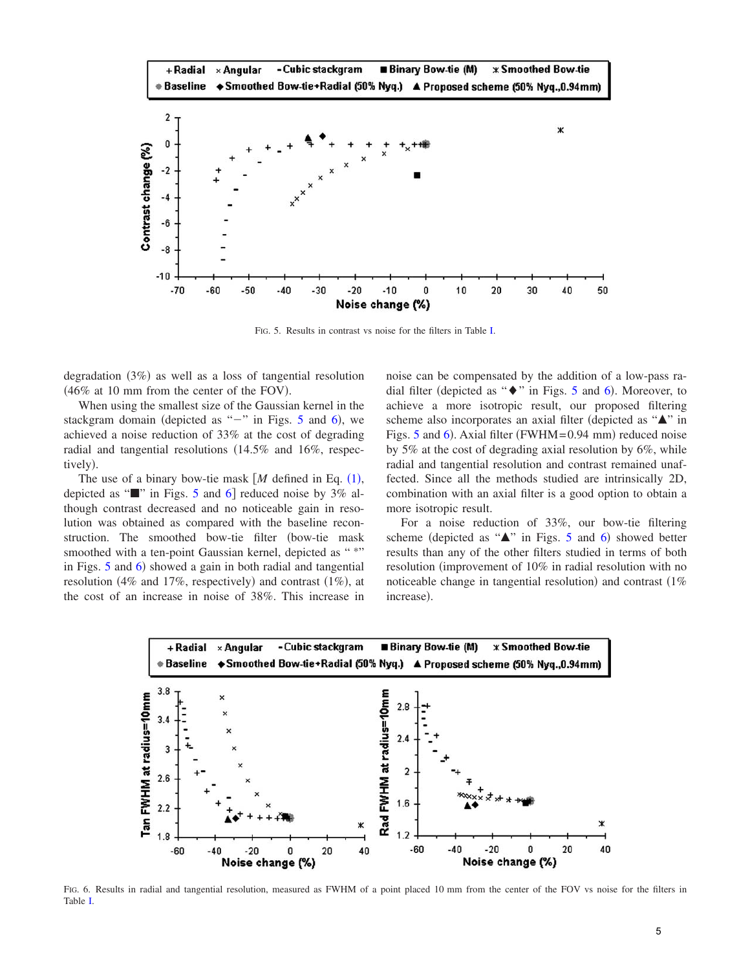<span id="page-4-0"></span>

FIG. 5. Results in contrast vs noise for the filters in Table [I.](#page-3-0)

degradation (3%) as well as a loss of tangential resolution  $(46\%$  at 10 mm from the center of the FOV).

When using the smallest size of the Gaussian kernel in the stackgram domain (depicted as " $-$ " in Figs. [5](#page-4-0) and [6](#page-4-1)), we achieved a noise reduction of 33% at the cost of degrading radial and tangential resolutions (14.5% and 16%, respectively).

The use of a binary bow-tie mask  $[M]$  defined in Eq.  $(1)$  $(1)$  $(1)$ , depicted as " $\blacksquare$ " in Figs. [5](#page-4-0) and [6](#page-4-1) reduced noise by 3% although contrast decreased and no noticeable gain in resolution was obtained as compared with the baseline reconstruction. The smoothed bow-tie filter (bow-tie mask smoothed with a ten-point Gaussian kernel, depicted as "\*" in Figs. [5](#page-4-0) and [6](#page-4-1)) showed a gain in both radial and tangential resolution (4% and 17%, respectively) and contrast  $(1\%)$ , at the cost of an increase in noise of 38%. This increase in noise can be compensated by the addition of a low-pass radial filter (depicted as " $\bullet$ " in Figs. [5](#page-4-0) and [6](#page-4-1)). Moreover, to achieve a more isotropic result, our proposed filtering scheme also incorporates an axial filter (depicted as "A" in Figs. [5](#page-4-0) and [6](#page-4-1)). Axial filter (FWHM=0.94 mm) reduced noise by 5% at the cost of degrading axial resolution by 6%, while radial and tangential resolution and contrast remained unaffected. Since all the methods studied are intrinsically 2D, combination with an axial filter is a good option to obtain a more isotropic result.

For a noise reduction of 33%, our bow-tie filtering scheme (depicted as " $\blacktriangle$ " in Figs. [5](#page-4-0) and [6](#page-4-1)) showed better results than any of the other filters studied in terms of both resolution (improvement of 10% in radial resolution with no noticeable change in tangential resolution) and contrast  $(1\%$ increase).

<span id="page-4-1"></span>

FIG. 6. Results in radial and tangential resolution, measured as FWHM of a point placed 10 mm from the center of the FOV vs noise for the filters in Table [I.](#page-3-0)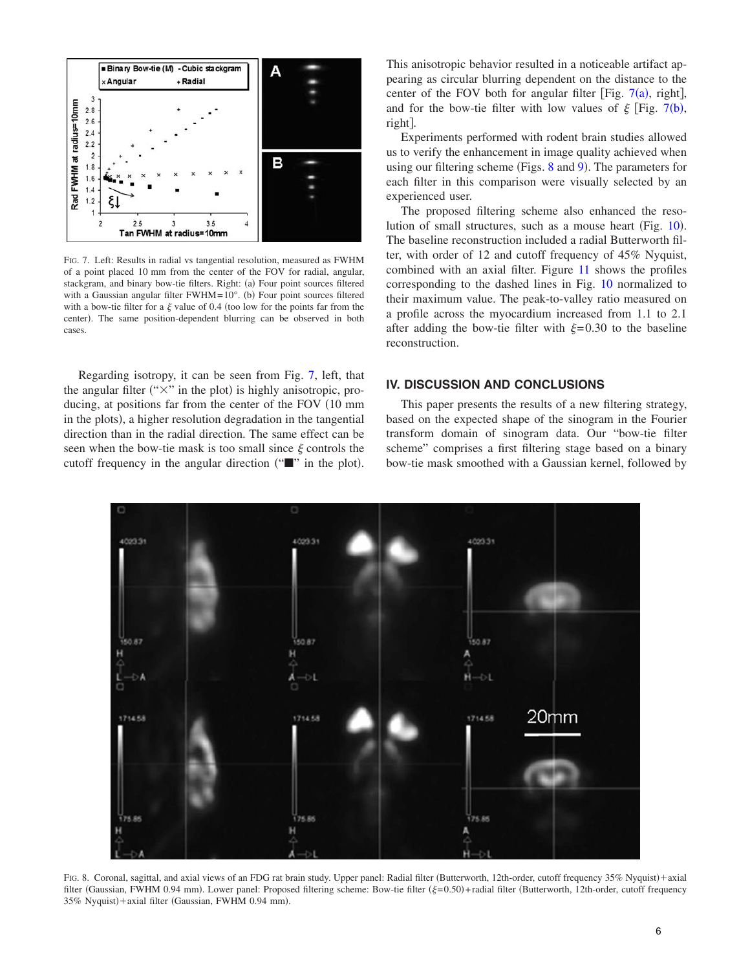<span id="page-5-0"></span>

FIG. 7. Left: Results in radial vs tangential resolution, measured as FWHM of a point placed 10 mm from the center of the FOV for radial, angular, stackgram, and binary bow-tie filters. Right: (a) Four point sources filtered with a Gaussian angular filter  $FWHM = 10^{\circ}$ . (b) Four point sources filtered with a bow-tie filter for a  $\xi$  value of 0.4 (too low for the points far from the center). The same position-dependent blurring can be observed in both cases.

Regarding isotropy, it can be seen from Fig. [7,](#page-5-0) left, that the angular filter (" $\times$ " in the plot) is highly anisotropic, producing, at positions far from the center of the FOV (10 mm in the plots), a higher resolution degradation in the tangential direction than in the radial direction. The same effect can be seen when the bow-tie mask is too small since  $\xi$  controls the cutoff frequency in the angular direction (""" in the plot).

This anisotropic behavior resulted in a noticeable artifact appearing as circular blurring dependent on the distance to the center of the FOV both for angular filter [Fig.  $7(a)$  $7(a)$ , right], and for the bow-tie filter with low values of  $\xi$  [Fig. [7](#page-5-0)(b), right.

Experiments performed with rodent brain studies allowed us to verify the enhancement in image quality achieved when using our filtering scheme (Figs. [8](#page-5-1) and [9](#page-6-0)). The parameters for each filter in this comparison were visually selected by an experienced user.

The proposed filtering scheme also enhanced the reso-lution of small structures, such as a mouse heart (Fig. [10](#page-7-0)). The baseline reconstruction included a radial Butterworth filter, with order of 12 and cutoff frequency of 45% Nyquist, combined with an axial filter. Figure [11](#page-7-1) shows the profiles corresponding to the dashed lines in Fig. [10](#page-7-0) normalized to their maximum value. The peak-to-valley ratio measured on a profile across the myocardium increased from 1.1 to 2.1 after adding the bow-tie filter with  $\xi = 0.30$  to the baseline reconstruction.

## **IV. DISCUSSION AND CONCLUSIONS**

This paper presents the results of a new filtering strategy, based on the expected shape of the sinogram in the Fourier transform domain of sinogram data. Our "bow-tie filter scheme" comprises a first filtering stage based on a binary bow-tie mask smoothed with a Gaussian kernel, followed by

<span id="page-5-1"></span>

FIG. 8. Coronal, sagittal, and axial views of an FDG rat brain study. Upper panel: Radial filter (Butterworth, 12th-order, cutoff frequency 35% Nyquist)+axial filter (Gaussian, FWHM 0.94 mm). Lower panel: Proposed filtering scheme: Bow-tie filter ( $\xi=0.50$ )+radial filter (Butterworth, 12th-order, cutoff frequency 35% Nyquist)+axial filter (Gaussian, FWHM 0.94 mm).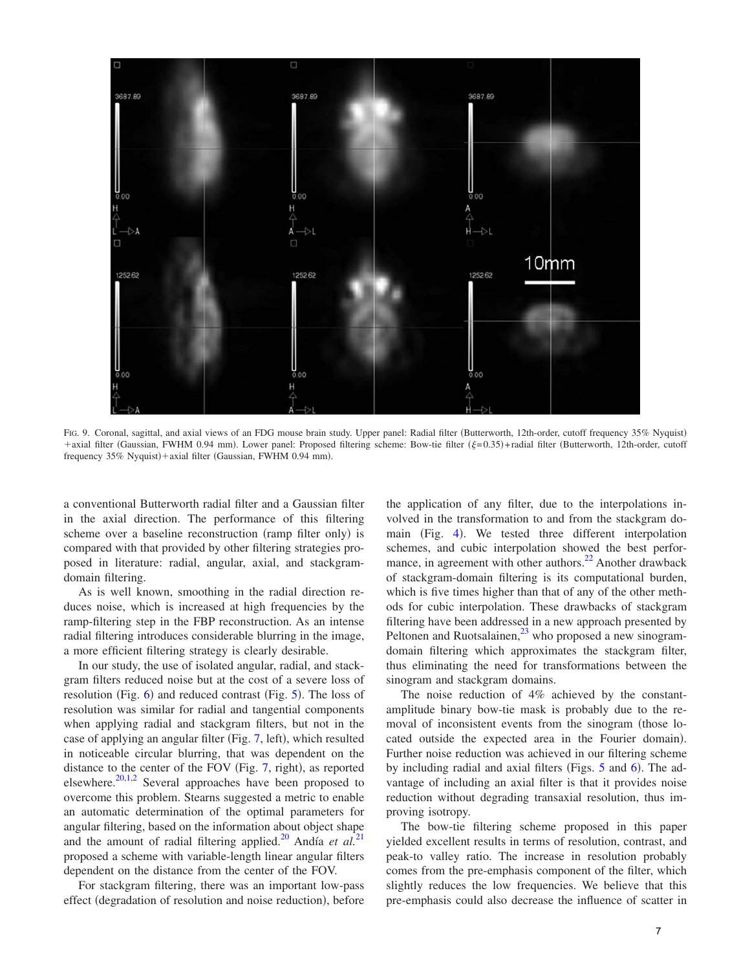<span id="page-6-0"></span>

FIG. 9. Coronal, sagittal, and axial views of an FDG mouse brain study. Upper panel: Radial filter (Butterworth, 12th-order, cutoff frequency 35% Nyquist) +axial filter (Gaussian, FWHM 0.94 mm). Lower panel: Proposed filtering scheme: Bow-tie filter ( $\xi$ =0.35)+radial filter (Butterworth, 12th-order, cutoff frequency 35% Nyquist)+axial filter (Gaussian, FWHM 0.94 mm).

a conventional Butterworth radial filter and a Gaussian filter in the axial direction. The performance of this filtering scheme over a baseline reconstruction (ramp filter only) is compared with that provided by other filtering strategies proposed in literature: radial, angular, axial, and stackgramdomain filtering.

As is well known, smoothing in the radial direction reduces noise, which is increased at high frequencies by the ramp-filtering step in the FBP reconstruction. As an intense radial filtering introduces considerable blurring in the image, a more efficient filtering strategy is clearly desirable.

In our study, the use of isolated angular, radial, and stackgram filters reduced noise but at the cost of a severe loss of resolution (Fig. [6](#page-4-1)) and reduced contrast (Fig. [5](#page-4-0)). The loss of resolution was similar for radial and tangential components when applying radial and stackgram filters, but not in the case of applying an angular filter (Fig. [7,](#page-5-0) left), which resulted in noticeable circular blurring, that was dependent on the distance to the center of the FOV (Fig. [7,](#page-5-0) right), as reported elsewhere. $20,1,2$  $20,1,2$  $20,1,2$  Several approaches have been proposed to overcome this problem. Stearns suggested a metric to enable an automatic determination of the optimal parameters for angular filtering, based on the information about object shape and the amount of radial filtering applied.<sup>20</sup> Andía *et al.*<sup>[21](#page-8-21)</sup> proposed a scheme with variable-length linear angular filters dependent on the distance from the center of the FOV.

For stackgram filtering, there was an important low-pass effect (degradation of resolution and noise reduction), before

the application of any filter, due to the interpolations involved in the transformation to and from the stackgram do-main (Fig. [4](#page-3-1)). We tested three different interpolation schemes, and cubic interpolation showed the best performance, in agreement with other authors.<sup>22</sup> Another drawback of stackgram-domain filtering is its computational burden, which is five times higher than that of any of the other methods for cubic interpolation. These drawbacks of stackgram filtering have been addressed in a new approach presented by Peltonen and Ruotsalainen, $^{23}$  who proposed a new sinogramdomain filtering which approximates the stackgram filter, thus eliminating the need for transformations between the sinogram and stackgram domains.

The noise reduction of 4% achieved by the constantamplitude binary bow-tie mask is probably due to the removal of inconsistent events from the sinogram (those located outside the expected area in the Fourier domain). Further noise reduction was achieved in our filtering scheme by including radial and axial filters (Figs. [5](#page-4-0) and [6](#page-4-1)). The advantage of including an axial filter is that it provides noise reduction without degrading transaxial resolution, thus improving isotropy.

The bow-tie filtering scheme proposed in this paper yielded excellent results in terms of resolution, contrast, and peak-to valley ratio. The increase in resolution probably comes from the pre-emphasis component of the filter, which slightly reduces the low frequencies. We believe that this pre-emphasis could also decrease the influence of scatter in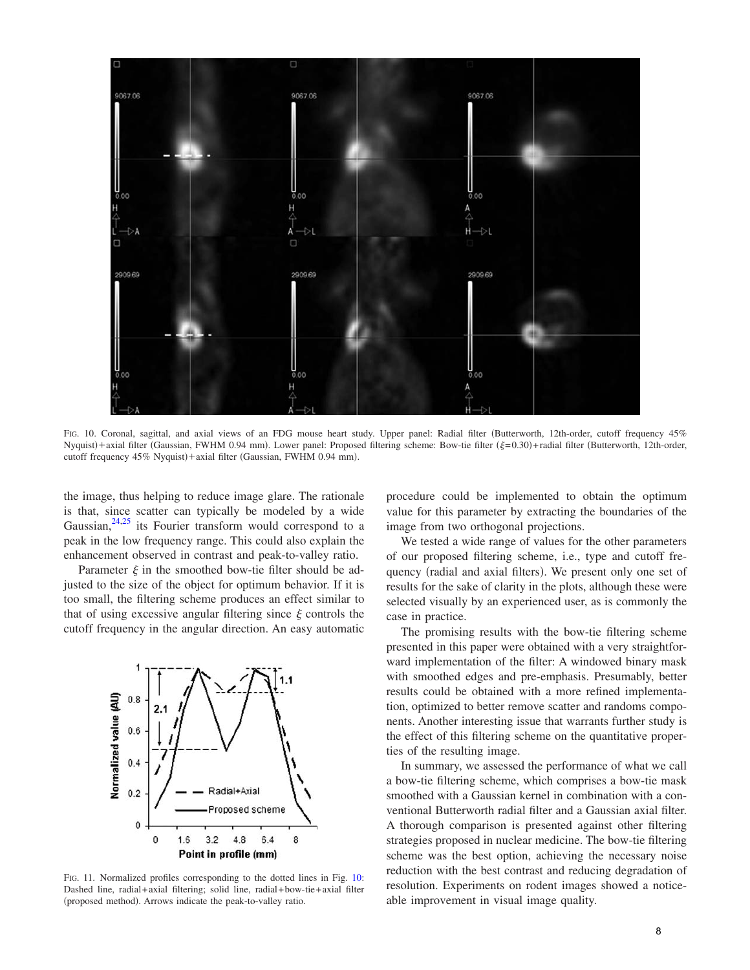<span id="page-7-0"></span>

FIG. 10. Coronal, sagittal, and axial views of an FDG mouse heart study. Upper panel: Radial filter (Butterworth, 12th-order, cutoff frequency 45% Nyquist)+axial filter (Gaussian, FWHM 0.94 mm). Lower panel: Proposed filtering scheme: Bow-tie filter ( $\xi$ =0.30)+radial filter (Butterworth, 12th-order, cutoff frequency 45% Nyquist)+axial filter (Gaussian, FWHM 0.94 mm).

the image, thus helping to reduce image glare. The rationale is that, since scatter can typically be modeled by a wide Gaussian, $24,25$  $24,25$  its Fourier transform would correspond to a peak in the low frequency range. This could also explain the enhancement observed in contrast and peak-to-valley ratio.

Parameter  $\xi$  in the smoothed bow-tie filter should be adjusted to the size of the object for optimum behavior. If it is too small, the filtering scheme produces an effect similar to that of using excessive angular filtering since  $\xi$  controls the cutoff frequency in the angular direction. An easy automatic

<span id="page-7-1"></span>

FIG. 11. Normalized profiles corresponding to the dotted lines in Fig. [10:](#page-7-0) Dashed line, radial+axial filtering; solid line, radial+ bow-tie+axial filter (proposed method). Arrows indicate the peak-to-valley ratio.

procedure could be implemented to obtain the optimum value for this parameter by extracting the boundaries of the image from two orthogonal projections.

We tested a wide range of values for the other parameters of our proposed filtering scheme, i.e., type and cutoff frequency (radial and axial filters). We present only one set of results for the sake of clarity in the plots, although these were selected visually by an experienced user, as is commonly the case in practice.

The promising results with the bow-tie filtering scheme presented in this paper were obtained with a very straightforward implementation of the filter: A windowed binary mask with smoothed edges and pre-emphasis. Presumably, better results could be obtained with a more refined implementation, optimized to better remove scatter and randoms components. Another interesting issue that warrants further study is the effect of this filtering scheme on the quantitative properties of the resulting image.

In summary, we assessed the performance of what we call a bow-tie filtering scheme, which comprises a bow-tie mask smoothed with a Gaussian kernel in combination with a conventional Butterworth radial filter and a Gaussian axial filter. A thorough comparison is presented against other filtering strategies proposed in nuclear medicine. The bow-tie filtering scheme was the best option, achieving the necessary noise reduction with the best contrast and reducing degradation of resolution. Experiments on rodent images showed a noticeable improvement in visual image quality.